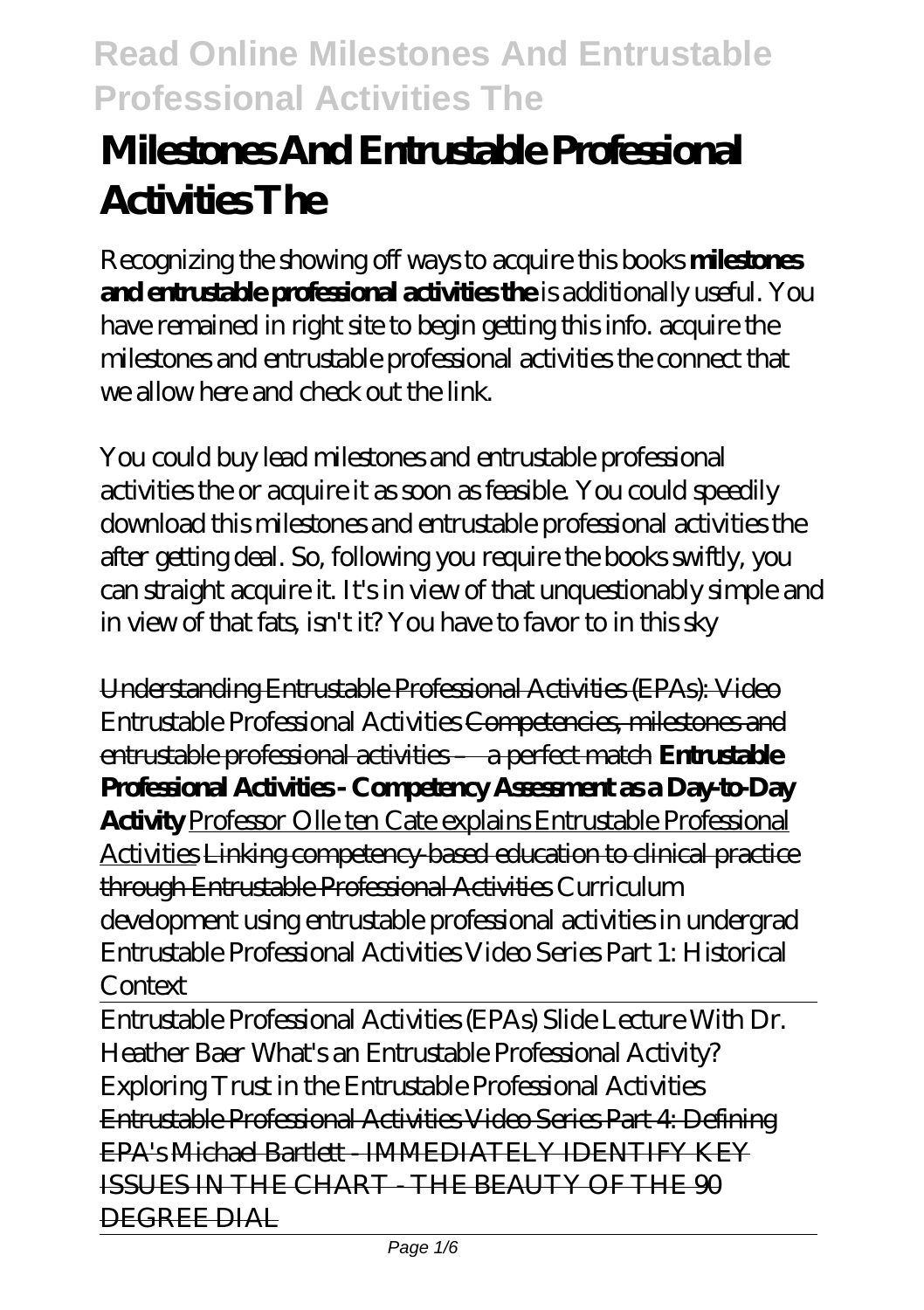# **Milestones And Entrustable Professional Activities The**

Recognizing the showing off ways to acquire this books **milestones and entrustable professional activities the** is additionally useful. You have remained in right site to begin getting this info. acquire the milestones and entrustable professional activities the connect that we allow here and check out the link.

You could buy lead milestones and entrustable professional activities the or acquire it as soon as feasible. You could speedily download this milestones and entrustable professional activities the after getting deal. So, following you require the books swiftly, you can straight acquire it. It's in view of that unquestionably simple and in view of that fats, isn't it? You have to favor to in this sky

Understanding Entrustable Professional Activities (EPAs): Video *Entrustable Professional Activities* Competencies, milestones and entrustable professional activities – a perfect match **Entrustable Professional Activities - Competency Assessment as a Day-to-Day Activity** Professor Olle ten Cate explains Entrustable Professional Activities Linking competency-based education to clinical practice through Entrustable Professional Activities Curriculum development using entrustable professional activities in undergrad *Entrustable Professional Activities Video Series Part 1: Historical Context*

Entrustable Professional Activities (EPAs) Slide Lecture With Dr. Heather Baer What's an Entrustable Professional Activity? Exploring Trust in the Entrustable Professional Activities Entrustable Professional Activities Video Series Part 4: Defining EPA's Michael Bartlett - IMMEDIATELY IDENTIFY KEY ISSUES IN THE CHART - THE BEAUTY OF THE 90 DEGREE DIAL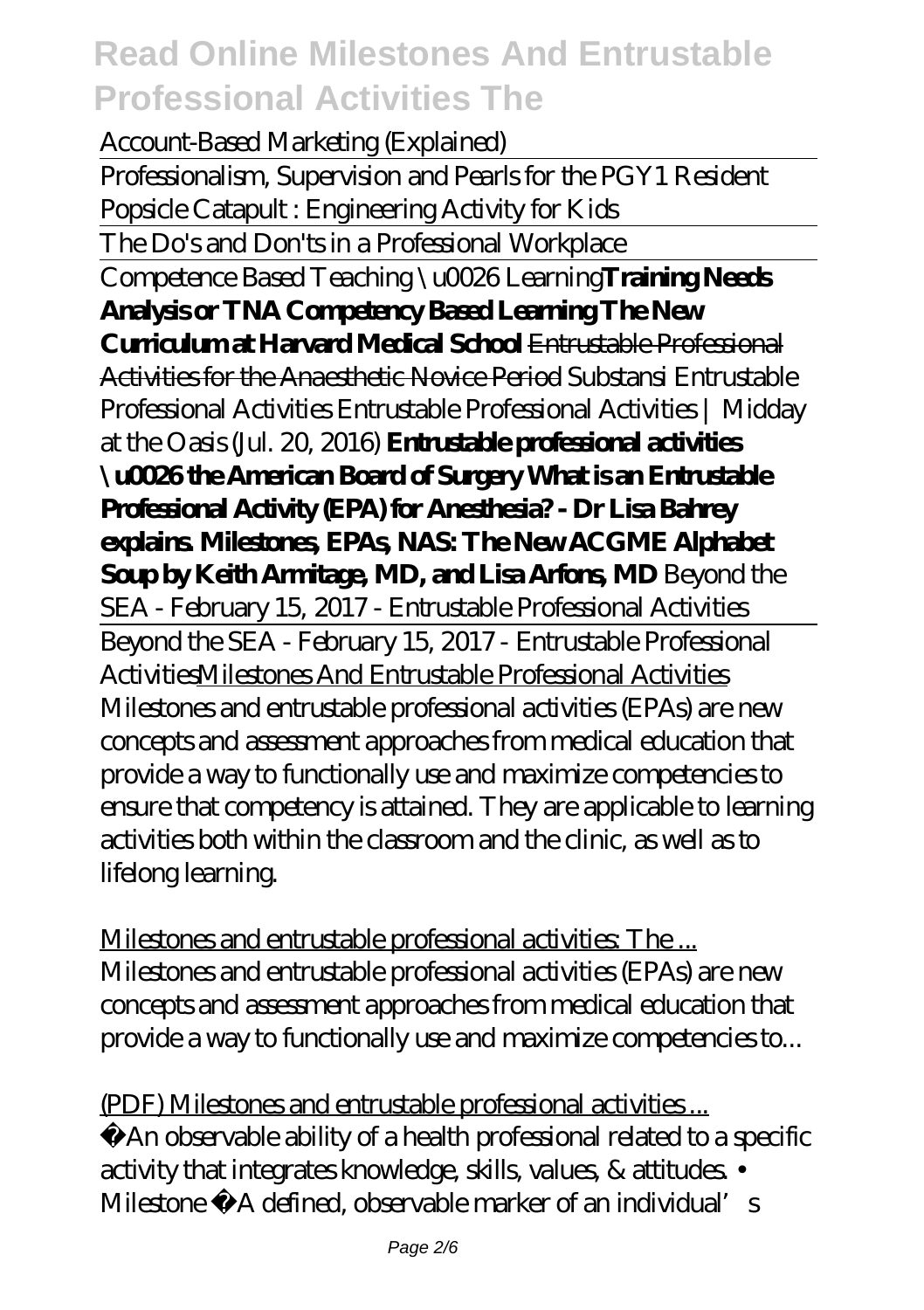Account-Based Marketing (Explained) Professionalism, Supervision and Pearls for the PGY1 Resident Popsicle Catapult : Engineering Activity for Kids The Do's and Don'ts in a Professional Workplace Competence Based Teaching \u0026 Learning**Training Needs Analysis or TNA Competency Based Learning The New Curriculum at Harvard Medical School** Entrustable Professional Activities for the Anaesthetic Novice Period *Substansi Entrustable Professional Activities* Entrustable Professional Activities | Midday at the Oasis (Jul. 20, 2016) **Entrustable professional activities \u0026 the American Board of Surgery What is an Entrustable Professional Activity (EPA) for Anesthesia? - Dr Lisa Bahrey explains. Milestones, EPAs, NAS: The New ACGME Alphabet Soup by Keith Armitage, MD, and Lisa Arfons, MD** *Beyond the SEA - February 15, 2017 - Entrustable Professional Activities* Beyond the SEA - February 15, 2017 - Entrustable Professional ActivitiesMilestones And Entrustable Professional Activities Milestones and entrustable professional activities (EPAs) are new concepts and assessment approaches from medical education that provide a way to functionally use and maximize competencies to ensure that competency is attained. They are applicable to learning activities both within the classroom and the clinic, as well as to lifelong learning.

Milestones and entrustable professional activities: The ... Milestones and entrustable professional activities (EPAs) are new concepts and assessment approaches from medical education that provide a way to functionally use and maximize competencies to...

(PDF) Milestones and entrustable professional activities ... −An observable ability of a health professional related to a specific activity that integrates knowledge, skills, values, & attitudes. • Milestone – A defined, observable marker of an individual's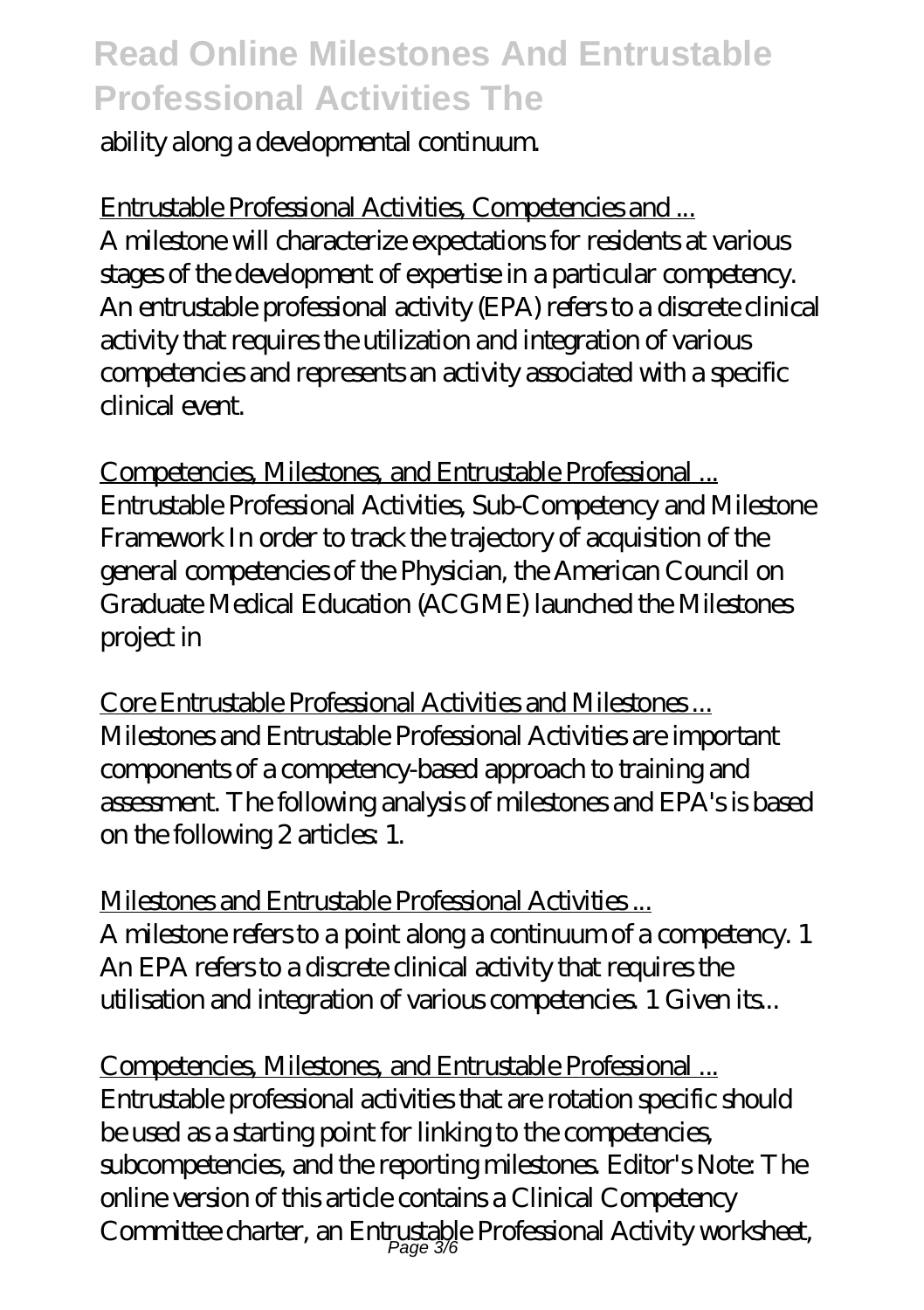ability along a developmental continuum.

Entrustable Professional Activities, Competencies and ... A milestone will characterize expectations for residents at various stages of the development of expertise in a particular competency. An entrustable professional activity (EPA) refers to a discrete clinical activity that requires the utilization and integration of various competencies and represents an activity associated with a specific clinical event.

Competencies, Milestones, and Entrustable Professional ... Entrustable Professional Activities, Sub-Competency and Milestone Framework In order to track the trajectory of acquisition of the general competencies of the Physician, the American Council on Graduate Medical Education (ACGME) launched the Milestones project in

Core Entrustable Professional Activities and Milestones ... Milestones and Entrustable Professional Activities are important components of a competency-based approach to training and assessment. The following analysis of milestones and EPA's is based on the following 2 articles: 1.

Milestones and Entrustable Professional Activities ... A milestone refers to a point along a continuum of a competency. 1 An EPA refers to a discrete clinical activity that requires the utilisation and integration of various competencies. 1 Given its...

Competencies, Milestones, and Entrustable Professional ... Entrustable professional activities that are rotation specific should be used as a starting point for linking to the competencies, subcompetencies, and the reporting milestones. Editor's Note: The online version of this article contains a Clinical Competency Committee charter, an Entrustable Professional Activity worksheet,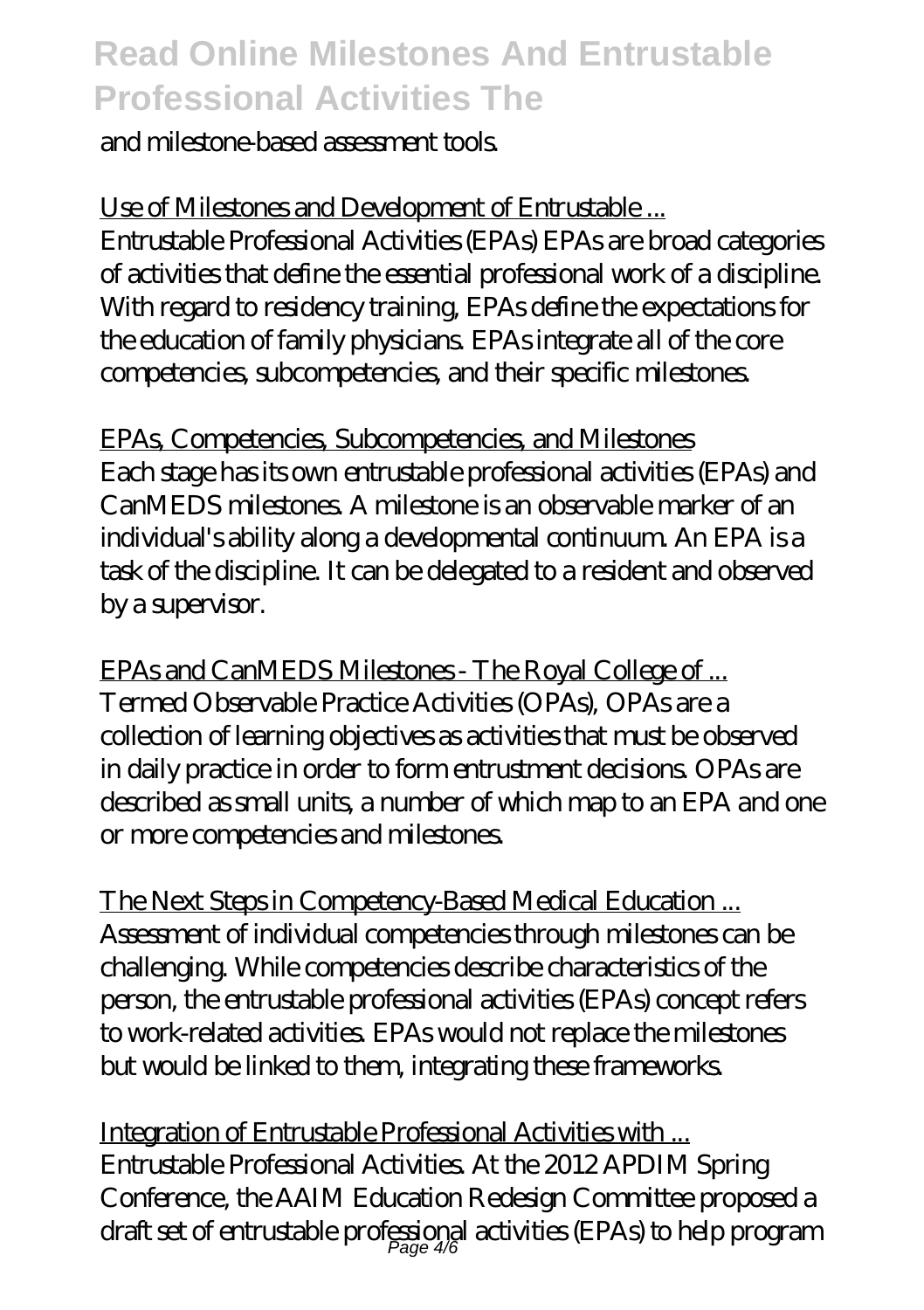#### and milestone-based assessment tools.

Use of Milestones and Development of Entrustable ... Entrustable Professional Activities (EPAs) EPAs are broad categories of activities that define the essential professional work of a discipline. With regard to residency training, EPAs define the expectations for the education of family physicians. EPAs integrate all of the core competencies, subcompetencies, and their specific milestones.

EPAs, Competencies, Subcompetencies, and Milestones Each stage has its own entrustable professional activities (EPAs) and CanMEDS milestones. A milestone is an observable marker of an individual's ability along a developmental continuum. An EPA is a task of the discipline. It can be delegated to a resident and observed by a supervisor.

EPAs and CanMEDS Milestones - The Royal College of ... Termed Observable Practice Activities (OPAs), OPAs are a collection of learning objectives as activities that must be observed in daily practice in order to form entrustment decisions. OPAs are described as small units, a number of which map to an EPA and one or more competencies and milestones.

The Next Steps in Competency-Based Medical Education ... Assessment of individual competencies through milestones can be challenging. While competencies describe characteristics of the person, the entrustable professional activities (EPAs) concept refers to work-related activities. EPAs would not replace the milestones but would be linked to them, integrating these frameworks.

Integration of Entrustable Professional Activities with ... Entrustable Professional Activities. At the 2012 APDIM Spring Conference, the AAIM Education Redesign Committee proposed a draft set of entrustable professional activities (EPAs) to help program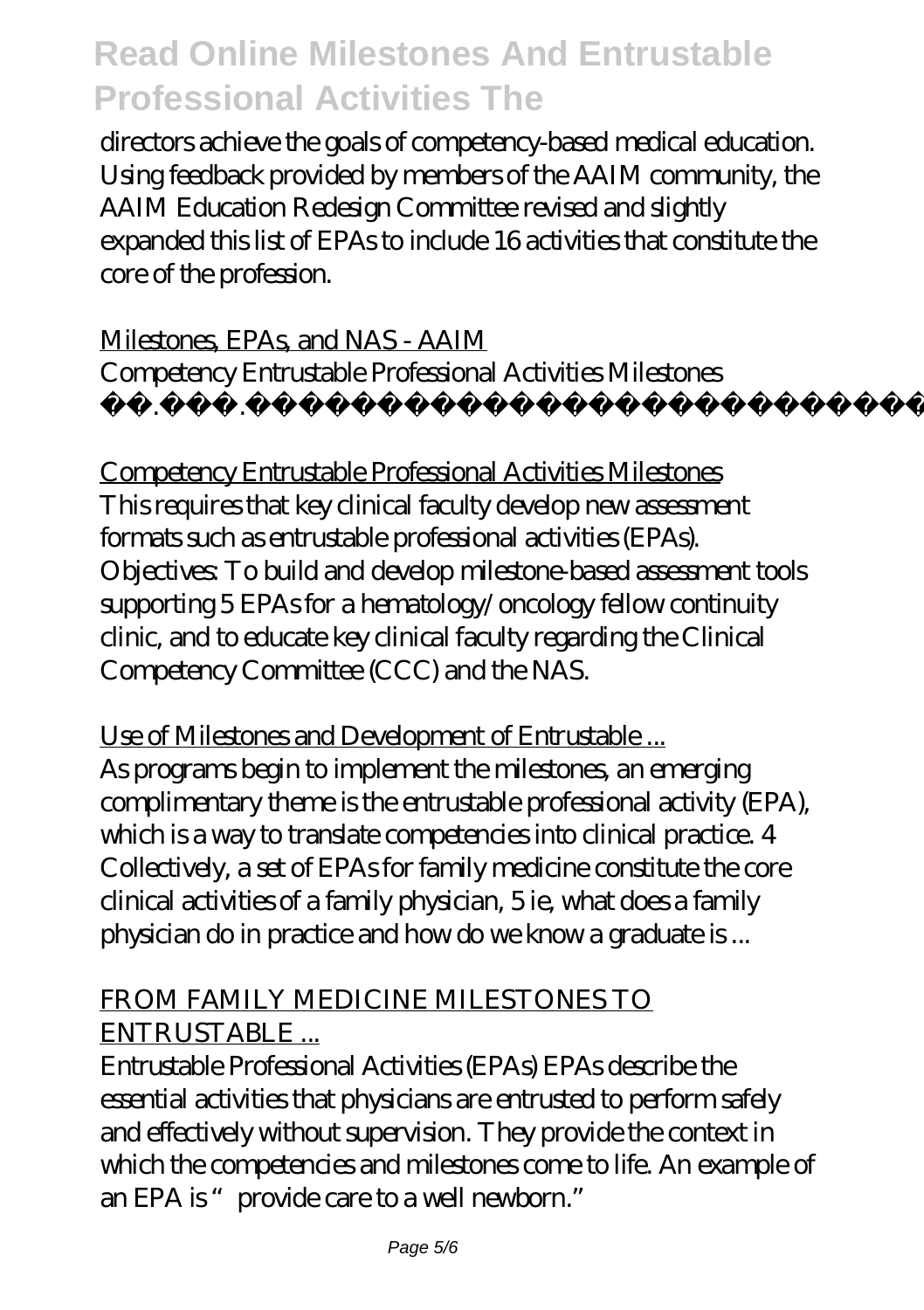directors achieve the goals of competency-based medical education. Using feedback provided by members of the AAIM community, the AAIM Education Redesign Committee revised and slightly expanded this list of EPAs to include 16 activities that constitute the core of the profession.

Milestones, EPAs, and NAS - AAIM Competency Entrustable Professional Activities Milestones  $\ldots$  2561

Competency Entrustable Professional Activities Milestones This requires that key clinical faculty develop new assessment formats such as entrustable professional activities (EPAs). Objectives: To build and develop milestone-based assessment tools supporting 5 EPAs for a hematology/oncology fellow continuity clinic, and to educate key clinical faculty regarding the Clinical Competency Committee (CCC) and the NAS.

Use of Milestones and Development of Entrustable ... As programs begin to implement the milestones, an emerging complimentary theme is the entrustable professional activity (EPA), which is a way to translate competencies into clinical practice. 4 Collectively, a set of EPAs for family medicine constitute the core clinical activities of a family physician, 5 ie, what does a family physician do in practice and how do we know a graduate is ...

#### FROM FAMILY MEDICINE MILESTONES TO ENTRUSTABLE ...

Entrustable Professional Activities (EPAs) EPAs describe the essential activities that physicians are entrusted to perform safely and effectively without supervision. They provide the context in which the competencies and milestones come to life. An example of an EPA is "provide care to a well newborn."